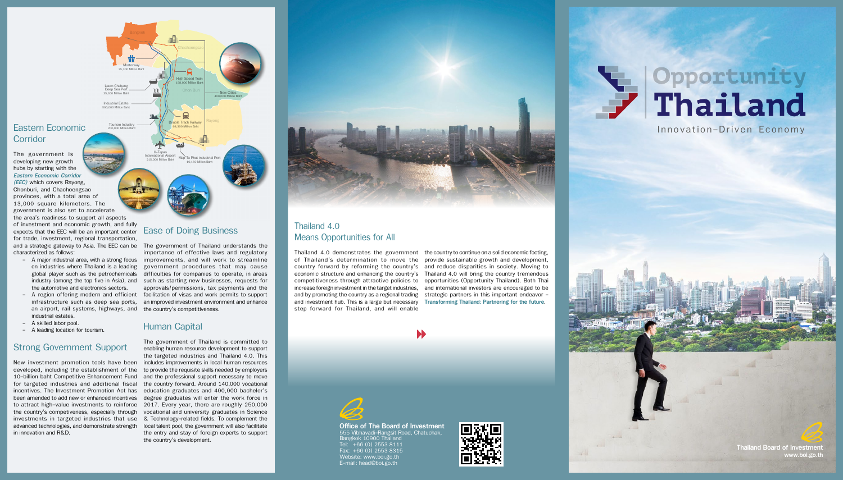**High Speed Tra** 158,000 Million Baht

New Cities 400,000 Million Baht

U-Tapao International Airport 215,000 Million Baht Map Ta Phut industrial Port 10,150 Million Baht

Double Track Railway 64,300 Million Baht

 $\mathbf{Q}$ 

Laem Chabang Deep Sea Port 35,300 Million Baht Chachoengsao

Chon Buri

### Eastern Economic **Corridor**

Rayong

Industrial Estate 500,000 Million Baht

> Tourism Industry 200,000 Million Baht

> > Office of The Board of Investment 555 Vibhavadi-Rangsit Road, Chatuchak, Bangkok 10900 Thailand Tel: +66 (0) 2553 8111 Fax: +66 (0) 2553 8315 Website: www.boi.go.th E-mail: head@boi.go.th





Thailand Board of Investment www.boi.go.th

- the automotive and electronics sectors.
- an airport, rail systems, highways, and the country's competitiveness. industrial estates.
- A skilled labor pool.
- A leading location for tourism.

The government is developing new growth hubs by starting with the *Eastern Economic Corridor (EEC)* which covers Rayong, Chonburi, and Chachoengsao provinces, with a total area of 13,000 square kilometers. The government is also set to accelerate the area's readiness to support all aspects of investment and economic growth, and fully expects that the EEC will be an important center for trade, investment, regional transportation, characterized as follows:

Mortorway<br>35,300 Million Bah

Ť

New investment promotion tools have been includes improvements in local human resources developed, including the establishment of the to provide the requisite skills needed by employers 10-billion baht Competitive Enhancement Fund for targeted industries and additional fiscal incentives. The Investment Promotion Act has education graduates and 400,000 bachelor's been amended to add new or enhanced incentives degree graduates will enter the work force in to attract high-value investments to reinforce 2017. Every year, there are roughly 250,000 the country's competiveness, especially through investments in targeted industries that use & Technology-related fields. To complement the advanced technologies, and demonstrate strength local talent pool, the government will also facilitate in innovation and R&D.

### Strong Government Support

and a strategic gateway to Asia. The EEC can be The government of Thailand understands the - A major industrial area, with a strong focus improvements, and will work to streamline on industries where Thailand is a leading government procedures that may cause global player such as the petrochemicals difficulties for companies to operate, in areas industry (among the top five in Asia), and such as starting new businesses, requests for - A region offering modern and efficient facilitation of visas and work permits to support infrastructure such as deep sea ports, an improved investment environment and enhance importance of effective laws and regulatory approvals/permissions, tax payments and the

### Thailand 4.0 Means Opportunities for All

Thailand 4.0 demonstrates the government the country to continue on a solid economic footing, of Thailand's determination to move the provide sustainable growth and development, country forward by reforming the country's and reduce disparities in society. Moving to economic structure and enhancing the country's Thailand 4.0 will bring the country tremendous competitiveness through attractive policies to opportunities (Opportunity Thailand). Both Thai increase foreign investment in the target industries, and international investors are encouraged to be and by promoting the country as a regional trading strategic partners in this important endeavor and investment hub. This is a large but necessary Transforming Thailand: Partnering for the future. step forward for Thailand, and will enable





### Ease of Doing Business

#### Human Capital

The government of Thailand is committed to enabling human resource development to support the targeted industries and Thailand 4.0. This and the professional support necessary to move the country forward. Around 140,000 vocational vocational and university graduates in Science the entry and stay of foreign experts to support the country's development.



### Innovation-Driven Economy

 $-1$